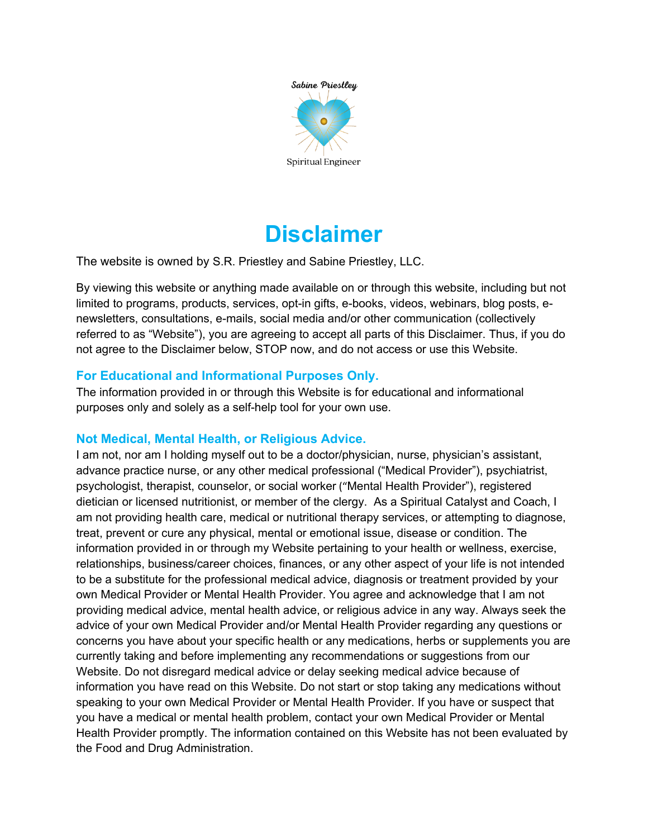

# **Disclaimer**

The website is owned by S.R. Priestley and Sabine Priestley, LLC.

By viewing this website or anything made available on or through this website, including but not limited to programs, products, services, opt-in gifts, e-books, videos, webinars, blog posts, enewsletters, consultations, e-mails, social media and/or other communication (collectively referred to as "Website"), you are agreeing to accept all parts of this Disclaimer. Thus, if you do not agree to the Disclaimer below, STOP now, and do not access or use this Website.

# **For Educational and Informational Purposes Only.**

The information provided in or through this Website is for educational and informational purposes only and solely as a self-help tool for your own use.

# **Not Medical, Mental Health, or Religious Advice.**

I am not, nor am I holding myself out to be a doctor/physician, nurse, physician's assistant, advance practice nurse, or any other medical professional ("Medical Provider"), psychiatrist, psychologist, therapist, counselor, or social worker ("Mental Health Provider"), registered dietician or licensed nutritionist, or member of the clergy. As a Spiritual Catalyst and Coach, I am not providing health care, medical or nutritional therapy services, or attempting to diagnose, treat, prevent or cure any physical, mental or emotional issue, disease or condition. The information provided in or through my Website pertaining to your health or wellness, exercise, relationships, business/career choices, finances, or any other aspect of your life is not intended to be a substitute for the professional medical advice, diagnosis or treatment provided by your own Medical Provider or Mental Health Provider. You agree and acknowledge that I am not providing medical advice, mental health advice, or religious advice in any way. Always seek the advice of your own Medical Provider and/or Mental Health Provider regarding any questions or concerns you have about your specific health or any medications, herbs or supplements you are currently taking and before implementing any recommendations or suggestions from our Website. Do not disregard medical advice or delay seeking medical advice because of information you have read on this Website. Do not start or stop taking any medications without speaking to your own Medical Provider or Mental Health Provider. If you have or suspect that you have a medical or mental health problem, contact your own Medical Provider or Mental Health Provider promptly. The information contained on this Website has not been evaluated by the Food and Drug Administration.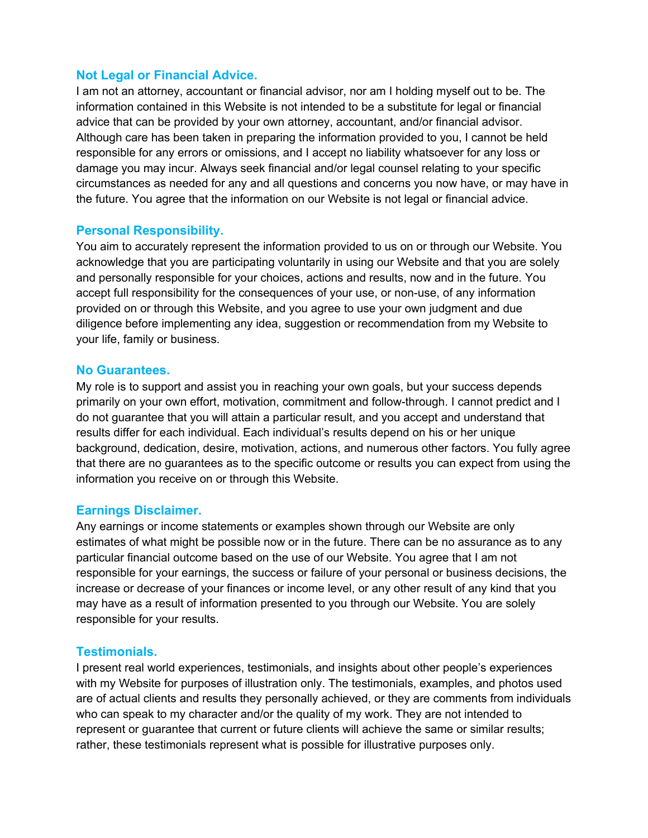#### **Not Legal or Financial Advice.**

I am not an attorney, accountant or financial advisor, nor am I holding myself out to be. The information contained in this Website is not intended to be a substitute for legal or financial advice that can be provided by your own attorney, accountant, and/or financial advisor. Although care has been taken in preparing the information provided to you, I cannot be held responsible for any errors or omissions, and I accept no liability whatsoever for any loss or damage you may incur. Always seek financial and/or legal counsel relating to your specific circumstances as needed for any and all questions and concerns you now have, or may have in the future. You agree that the information on our Website is not legal or financial advice.

#### **Personal Responsibility.**

You aim to accurately represent the information provided to us on or through our Website. You acknowledge that you are participating voluntarily in using our Website and that you are solely and personally responsible for your choices, actions and results, now and in the future. You accept full responsibility for the consequences of your use, or non-use, of any information provided on or through this Website, and you agree to use your own judgment and due diligence before implementing any idea, suggestion or recommendation from my Website to your life, family or business.

#### **No Guarantees.**

My role is to support and assist you in reaching your own goals, but your success depends primarily on your own effort, motivation, commitment and follow-through. I cannot predict and I do not guarantee that you will attain a particular result, and you accept and understand that results differ for each individual. Each individual's results depend on his or her unique background, dedication, desire, motivation, actions, and numerous other factors. You fully agree that there are no guarantees as to the specific outcome or results you can expect from using the information you receive on or through this Website.

## **Earnings Disclaimer.**

Any earnings or income statements or examples shown through our Website are only estimates of what might be possible now or in the future. There can be no assurance as to any particular financial outcome based on the use of our Website. You agree that I am not responsible for your earnings, the success or failure of your personal or business decisions, the increase or decrease of your finances or income level, or any other result of any kind that you may have as a result of information presented to you through our Website. You are solely responsible for your results.

## **Testimonials.**

I present real world experiences, testimonials, and insights about other people's experiences with my Website for purposes of illustration only. The testimonials, examples, and photos used are of actual clients and results they personally achieved, or they are comments from individuals who can speak to my character and/or the quality of my work. They are not intended to represent or guarantee that current or future clients will achieve the same or similar results; rather, these testimonials represent what is possible for illustrative purposes only.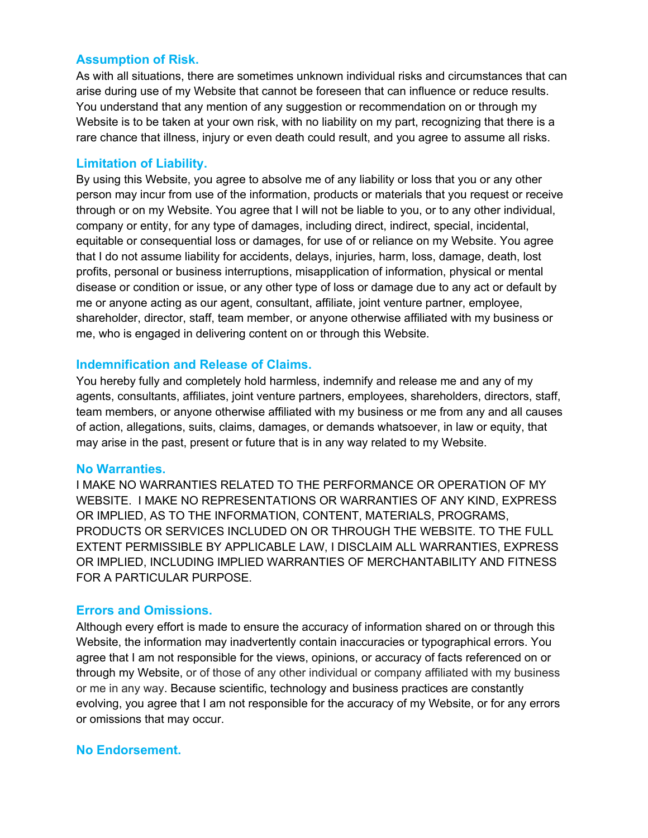## **Assumption of Risk.**

As with all situations, there are sometimes unknown individual risks and circumstances that can arise during use of my Website that cannot be foreseen that can influence or reduce results. You understand that any mention of any suggestion or recommendation on or through my Website is to be taken at your own risk, with no liability on my part, recognizing that there is a rare chance that illness, injury or even death could result, and you agree to assume all risks.

#### **Limitation of Liability.**

By using this Website, you agree to absolve me of any liability or loss that you or any other person may incur from use of the information, products or materials that you request or receive through or on my Website. You agree that I will not be liable to you, or to any other individual, company or entity, for any type of damages, including direct, indirect, special, incidental, equitable or consequential loss or damages, for use of or reliance on my Website. You agree that I do not assume liability for accidents, delays, injuries, harm, loss, damage, death, lost profits, personal or business interruptions, misapplication of information, physical or mental disease or condition or issue, or any other type of loss or damage due to any act or default by me or anyone acting as our agent, consultant, affiliate, joint venture partner, employee, shareholder, director, staff, team member, or anyone otherwise affiliated with my business or me, who is engaged in delivering content on or through this Website.

#### **Indemnification and Release of Claims.**

You hereby fully and completely hold harmless, indemnify and release me and any of my agents, consultants, affiliates, joint venture partners, employees, shareholders, directors, staff, team members, or anyone otherwise affiliated with my business or me from any and all causes of action, allegations, suits, claims, damages, or demands whatsoever, in law or equity, that may arise in the past, present or future that is in any way related to my Website.

#### **No Warranties.**

I MAKE NO WARRANTIES RELATED TO THE PERFORMANCE OR OPERATION OF MY WEBSITE. I MAKE NO REPRESENTATIONS OR WARRANTIES OF ANY KIND, EXPRESS OR IMPLIED, AS TO THE INFORMATION, CONTENT, MATERIALS, PROGRAMS, PRODUCTS OR SERVICES INCLUDED ON OR THROUGH THE WEBSITE. TO THE FULL EXTENT PERMISSIBLE BY APPLICABLE LAW, I DISCLAIM ALL WARRANTIES, EXPRESS OR IMPLIED, INCLUDING IMPLIED WARRANTIES OF MERCHANTABILITY AND FITNESS FOR A PARTICULAR PURPOSE.

## **Errors and Omissions.**

Although every effort is made to ensure the accuracy of information shared on or through this Website, the information may inadvertently contain inaccuracies or typographical errors. You agree that I am not responsible for the views, opinions, or accuracy of facts referenced on or through my Website, or of those of any other individual or company affiliated with my business or me in any way. Because scientific, technology and business practices are constantly evolving, you agree that I am not responsible for the accuracy of my Website, or for any errors or omissions that may occur.

## **No Endorsement.**